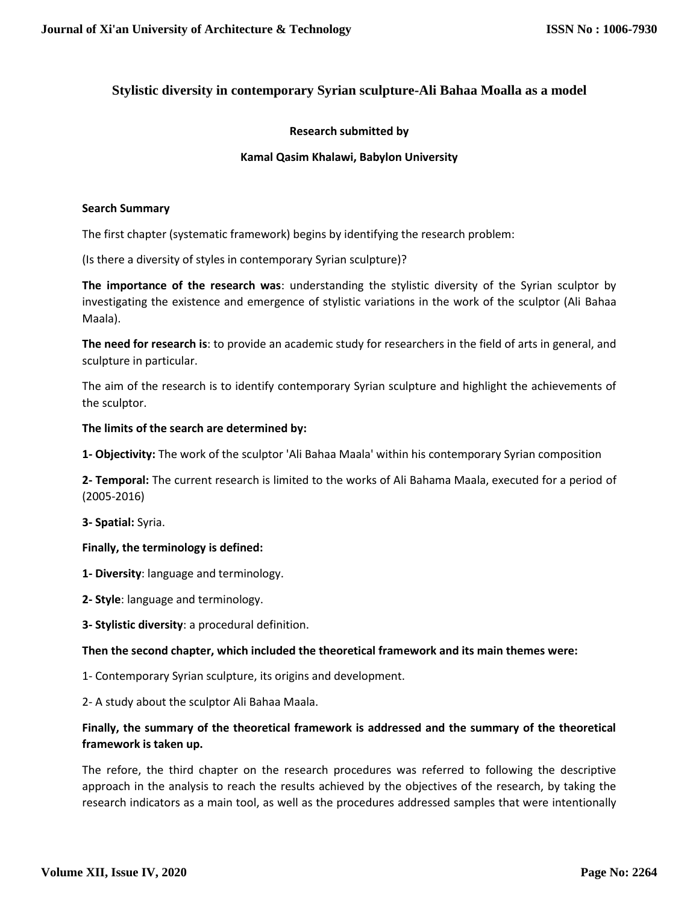# **Stylistic diversity in contemporary Syrian sculpture-Ali Bahaa Moalla as a model**

# **Research submitted by**

# **Kamal Qasim Khalawi, Babylon University**

### **Search Summary**

The first chapter (systematic framework) begins by identifying the research problem:

(Is there a diversity of styles in contemporary Syrian sculpture)?

**The importance of the research was**: understanding the stylistic diversity of the Syrian sculptor by investigating the existence and emergence of stylistic variations in the work of the sculptor (Ali Bahaa Maala).

**The need for research is**: to provide an academic study for researchers in the field of arts in general, and sculpture in particular.

The aim of the research is to identify contemporary Syrian sculpture and highlight the achievements of the sculptor.

### **The limits of the search are determined by:**

**1- Objectivity:** The work of the sculptor 'Ali Bahaa Maala' within his contemporary Syrian composition

**2- Temporal:** The current research is limited to the works of Ali Bahama Maala, executed for a period of (2005-2016)

**3- Spatial:** Syria.

# **Finally, the terminology is defined:**

- **1- Diversity**: language and terminology.
- **2- Style**: language and terminology.
- **3- Stylistic diversity**: a procedural definition.

#### **Then the second chapter, which included the theoretical framework and its main themes were:**

- 1- Contemporary Syrian sculpture, its origins and development.
- 2- A study about the sculptor Ali Bahaa Maala.

# **Finally, the summary of the theoretical framework is addressed and the summary of the theoretical framework is taken up.**

The refore, the third chapter on the research procedures was referred to following the descriptive approach in the analysis to reach the results achieved by the objectives of the research, by taking the research indicators as a main tool, as well as the procedures addressed samples that were intentionally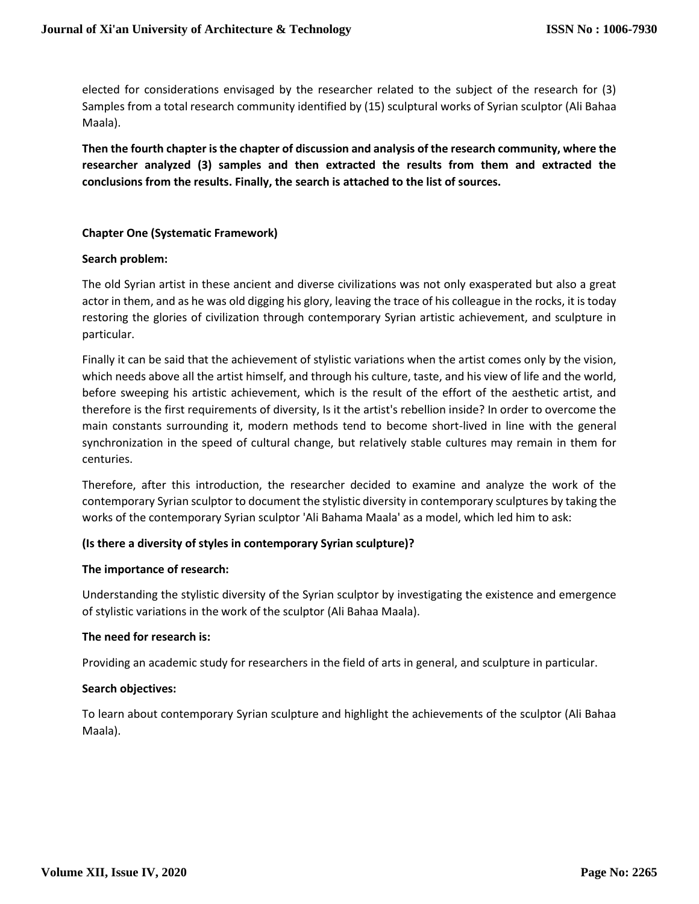elected for considerations envisaged by the researcher related to the subject of the research for (3) Samples from a total research community identified by (15) sculptural works of Syrian sculptor (Ali Bahaa Maala).

**Then the fourth chapter is the chapter of discussion and analysis of the research community, where the researcher analyzed (3) samples and then extracted the results from them and extracted the conclusions from the results. Finally, the search is attached to the list of sources.**

# **Chapter One (Systematic Framework)**

### **Search problem:**

The old Syrian artist in these ancient and diverse civilizations was not only exasperated but also a great actor in them, and as he was old digging his glory, leaving the trace of his colleague in the rocks, it is today restoring the glories of civilization through contemporary Syrian artistic achievement, and sculpture in particular.

Finally it can be said that the achievement of stylistic variations when the artist comes only by the vision, which needs above all the artist himself, and through his culture, taste, and his view of life and the world, before sweeping his artistic achievement, which is the result of the effort of the aesthetic artist, and therefore is the first requirements of diversity, Is it the artist's rebellion inside? In order to overcome the main constants surrounding it, modern methods tend to become short-lived in line with the general synchronization in the speed of cultural change, but relatively stable cultures may remain in them for centuries.

Therefore, after this introduction, the researcher decided to examine and analyze the work of the contemporary Syrian sculptor to document the stylistic diversity in contemporary sculptures by taking the works of the contemporary Syrian sculptor 'Ali Bahama Maala' as a model, which led him to ask:

# **(Is there a diversity of styles in contemporary Syrian sculpture)?**

# **The importance of research:**

Understanding the stylistic diversity of the Syrian sculptor by investigating the existence and emergence of stylistic variations in the work of the sculptor (Ali Bahaa Maala).

# **The need for research is:**

Providing an academic study for researchers in the field of arts in general, and sculpture in particular.

# **Search objectives:**

To learn about contemporary Syrian sculpture and highlight the achievements of the sculptor (Ali Bahaa Maala).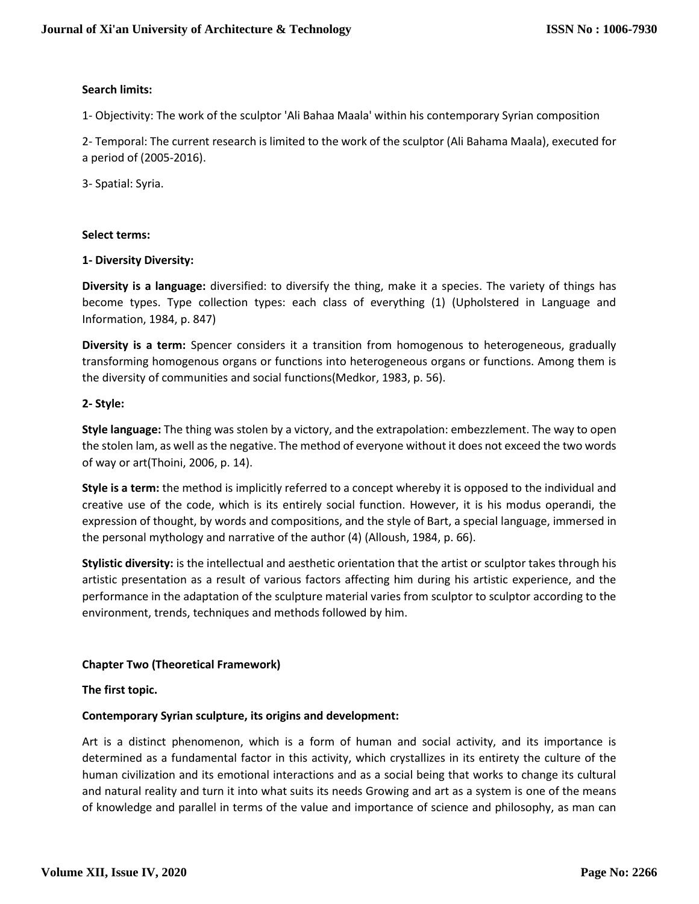# **Search limits:**

1- Objectivity: The work of the sculptor 'Ali Bahaa Maala' within his contemporary Syrian composition

2- Temporal: The current research is limited to the work of the sculptor (Ali Bahama Maala), executed for a period of (2005-2016).

3- Spatial: Syria.

# **Select terms:**

# **1- Diversity Diversity:**

**Diversity is a language:** diversified: to diversify the thing, make it a species. The variety of things has become types. Type collection types: each class of everything (1) (Upholstered in Language and Information, 1984, p. 847)

**Diversity is a term:** Spencer considers it a transition from homogenous to heterogeneous, gradually transforming homogenous organs or functions into heterogeneous organs or functions. Among them is the diversity of communities and social functions(Medkor, 1983, p. 56).

# **2- Style:**

**Style language:** The thing was stolen by a victory, and the extrapolation: embezzlement. The way to open the stolen lam, as well as the negative. The method of everyone without it does not exceed the two words of way or art(Thoini, 2006, p. 14).

**Style is a term:** the method is implicitly referred to a concept whereby it is opposed to the individual and creative use of the code, which is its entirely social function. However, it is his modus operandi, the expression of thought, by words and compositions, and the style of Bart, a special language, immersed in the personal mythology and narrative of the author (4) (Alloush, 1984, p. 66).

**Stylistic diversity:** is the intellectual and aesthetic orientation that the artist or sculptor takes through his artistic presentation as a result of various factors affecting him during his artistic experience, and the performance in the adaptation of the sculpture material varies from sculptor to sculptor according to the environment, trends, techniques and methods followed by him.

# **Chapter Two (Theoretical Framework)**

# **The first topic.**

# **Contemporary Syrian sculpture, its origins and development:**

Art is a distinct phenomenon, which is a form of human and social activity, and its importance is determined as a fundamental factor in this activity, which crystallizes in its entirety the culture of the human civilization and its emotional interactions and as a social being that works to change its cultural and natural reality and turn it into what suits its needs Growing and art as a system is one of the means of knowledge and parallel in terms of the value and importance of science and philosophy, as man can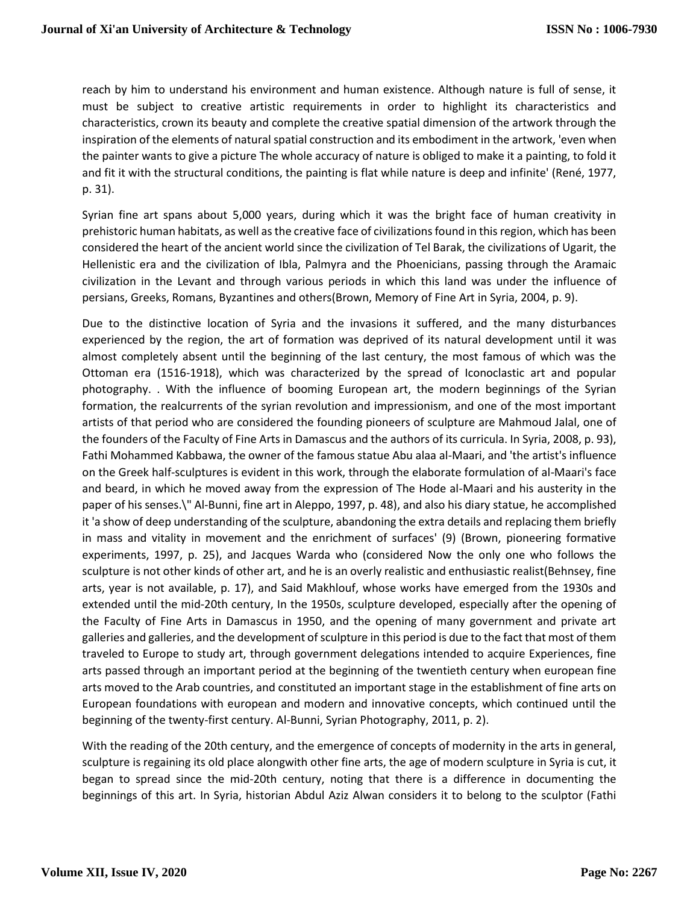reach by him to understand his environment and human existence. Although nature is full of sense, it must be subject to creative artistic requirements in order to highlight its characteristics and characteristics, crown its beauty and complete the creative spatial dimension of the artwork through the inspiration of the elements of natural spatial construction and its embodiment in the artwork, 'even when the painter wants to give a picture The whole accuracy of nature is obliged to make it a painting, to fold it and fit it with the structural conditions, the painting is flat while nature is deep and infinite' (René, 1977, p. 31).

Syrian fine art spans about 5,000 years, during which it was the bright face of human creativity in prehistoric human habitats, as well as the creative face of civilizations found in this region, which has been considered the heart of the ancient world since the civilization of Tel Barak, the civilizations of Ugarit, the Hellenistic era and the civilization of Ibla, Palmyra and the Phoenicians, passing through the Aramaic civilization in the Levant and through various periods in which this land was under the influence of persians, Greeks, Romans, Byzantines and others(Brown, Memory of Fine Art in Syria, 2004, p. 9).

Due to the distinctive location of Syria and the invasions it suffered, and the many disturbances experienced by the region, the art of formation was deprived of its natural development until it was almost completely absent until the beginning of the last century, the most famous of which was the Ottoman era (1516-1918), which was characterized by the spread of Iconoclastic art and popular photography. . With the influence of booming European art, the modern beginnings of the Syrian formation, the realcurrents of the syrian revolution and impressionism, and one of the most important artists of that period who are considered the founding pioneers of sculpture are Mahmoud Jalal, one of the founders of the Faculty of Fine Arts in Damascus and the authors of its curricula. In Syria, 2008, p. 93), Fathi Mohammed Kabbawa, the owner of the famous statue Abu alaa al-Maari, and 'the artist's influence on the Greek half-sculptures is evident in this work, through the elaborate formulation of al-Maari's face and beard, in which he moved away from the expression of The Hode al-Maari and his austerity in the paper of his senses.\" Al-Bunni, fine art in Aleppo, 1997, p. 48), and also his diary statue, he accomplished it 'a show of deep understanding of the sculpture, abandoning the extra details and replacing them briefly in mass and vitality in movement and the enrichment of surfaces' (9) (Brown, pioneering formative experiments, 1997, p. 25), and Jacques Warda who (considered Now the only one who follows the sculpture is not other kinds of other art, and he is an overly realistic and enthusiastic realist(Behnsey, fine arts, year is not available, p. 17), and Said Makhlouf, whose works have emerged from the 1930s and extended until the mid-20th century, In the 1950s, sculpture developed, especially after the opening of the Faculty of Fine Arts in Damascus in 1950, and the opening of many government and private art galleries and galleries, and the development of sculpture in this period is due to the fact that most of them traveled to Europe to study art, through government delegations intended to acquire Experiences, fine arts passed through an important period at the beginning of the twentieth century when european fine arts moved to the Arab countries, and constituted an important stage in the establishment of fine arts on European foundations with european and modern and innovative concepts, which continued until the beginning of the twenty-first century. Al-Bunni, Syrian Photography, 2011, p. 2).

With the reading of the 20th century, and the emergence of concepts of modernity in the arts in general, sculpture is regaining its old place alongwith other fine arts, the age of modern sculpture in Syria is cut, it began to spread since the mid-20th century, noting that there is a difference in documenting the beginnings of this art. In Syria, historian Abdul Aziz Alwan considers it to belong to the sculptor (Fathi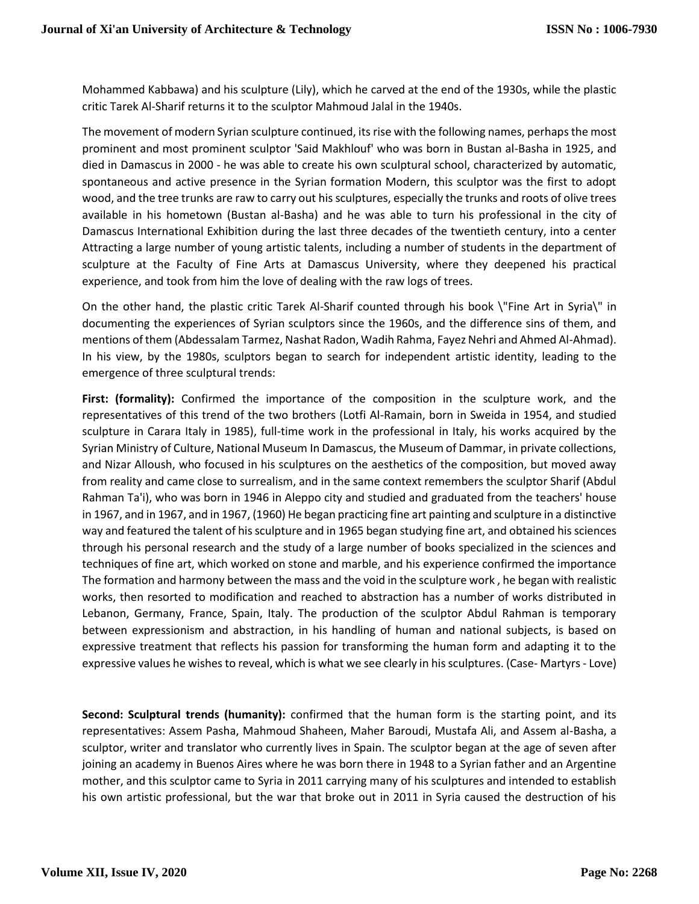Mohammed Kabbawa) and his sculpture (Lily), which he carved at the end of the 1930s, while the plastic critic Tarek Al-Sharif returns it to the sculptor Mahmoud Jalal in the 1940s.

The movement of modern Syrian sculpture continued, its rise with the following names, perhaps the most prominent and most prominent sculptor 'Said Makhlouf' who was born in Bustan al-Basha in 1925, and died in Damascus in 2000 - he was able to create his own sculptural school, characterized by automatic, spontaneous and active presence in the Syrian formation Modern, this sculptor was the first to adopt wood, and the tree trunks are raw to carry out his sculptures, especially the trunks and roots of olive trees available in his hometown (Bustan al-Basha) and he was able to turn his professional in the city of Damascus International Exhibition during the last three decades of the twentieth century, into a center Attracting a large number of young artistic talents, including a number of students in the department of sculpture at the Faculty of Fine Arts at Damascus University, where they deepened his practical experience, and took from him the love of dealing with the raw logs of trees.

On the other hand, the plastic critic Tarek Al-Sharif counted through his book \"Fine Art in Syria\" in documenting the experiences of Syrian sculptors since the 1960s, and the difference sins of them, and mentions of them (Abdessalam Tarmez, Nashat Radon, Wadih Rahma, Fayez Nehri and Ahmed Al-Ahmad). In his view, by the 1980s, sculptors began to search for independent artistic identity, leading to the emergence of three sculptural trends:

**First: (formality):** Confirmed the importance of the composition in the sculpture work, and the representatives of this trend of the two brothers (Lotfi Al-Ramain, born in Sweida in 1954, and studied sculpture in Carara Italy in 1985), full-time work in the professional in Italy, his works acquired by the Syrian Ministry of Culture, National Museum In Damascus, the Museum of Dammar, in private collections, and Nizar Alloush, who focused in his sculptures on the aesthetics of the composition, but moved away from reality and came close to surrealism, and in the same context remembers the sculptor Sharif (Abdul Rahman Ta'i), who was born in 1946 in Aleppo city and studied and graduated from the teachers' house in 1967, and in 1967, and in 1967, (1960) He began practicing fine art painting and sculpture in a distinctive way and featured the talent of his sculpture and in 1965 began studying fine art, and obtained his sciences through his personal research and the study of a large number of books specialized in the sciences and techniques of fine art, which worked on stone and marble, and his experience confirmed the importance The formation and harmony between the mass and the void in the sculpture work , he began with realistic works, then resorted to modification and reached to abstraction has a number of works distributed in Lebanon, Germany, France, Spain, Italy. The production of the sculptor Abdul Rahman is temporary between expressionism and abstraction, in his handling of human and national subjects, is based on expressive treatment that reflects his passion for transforming the human form and adapting it to the expressive values he wishes to reveal, which is what we see clearly in his sculptures. (Case- Martyrs - Love)

**Second: Sculptural trends (humanity):** confirmed that the human form is the starting point, and its representatives: Assem Pasha, Mahmoud Shaheen, Maher Baroudi, Mustafa Ali, and Assem al-Basha, a sculptor, writer and translator who currently lives in Spain. The sculptor began at the age of seven after joining an academy in Buenos Aires where he was born there in 1948 to a Syrian father and an Argentine mother, and this sculptor came to Syria in 2011 carrying many of his sculptures and intended to establish his own artistic professional, but the war that broke out in 2011 in Syria caused the destruction of his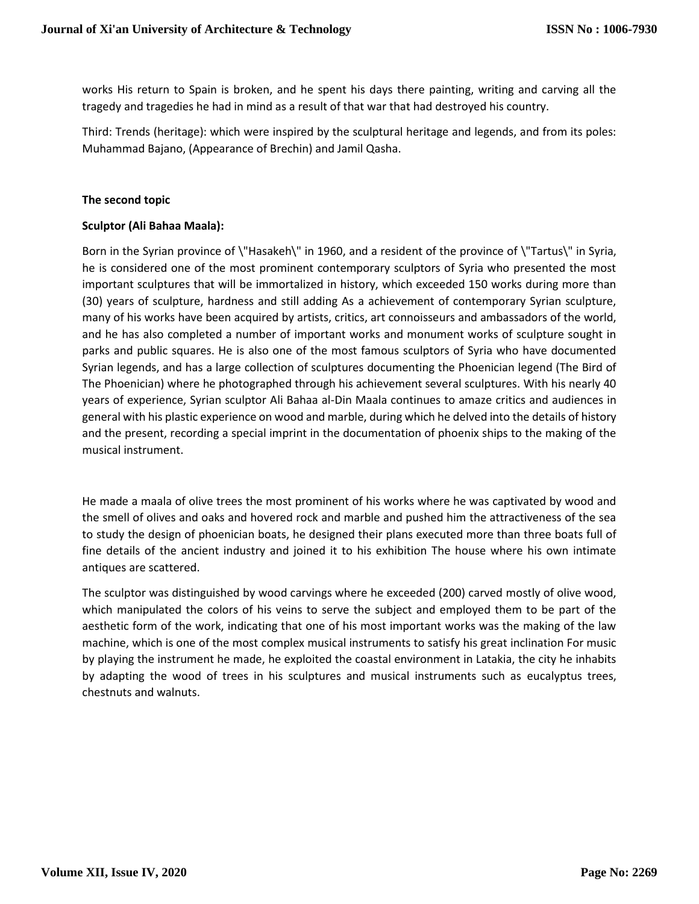works His return to Spain is broken, and he spent his days there painting, writing and carving all the tragedy and tragedies he had in mind as a result of that war that had destroyed his country.

Third: Trends (heritage): which were inspired by the sculptural heritage and legends, and from its poles: Muhammad Bajano, (Appearance of Brechin) and Jamil Qasha.

## **The second topic**

## **Sculptor (Ali Bahaa Maala):**

Born in the Syrian province of \"Hasakeh\" in 1960, and a resident of the province of \"Tartus\" in Syria, he is considered one of the most prominent contemporary sculptors of Syria who presented the most important sculptures that will be immortalized in history, which exceeded 150 works during more than (30) years of sculpture, hardness and still adding As a achievement of contemporary Syrian sculpture, many of his works have been acquired by artists, critics, art connoisseurs and ambassadors of the world, and he has also completed a number of important works and monument works of sculpture sought in parks and public squares. He is also one of the most famous sculptors of Syria who have documented Syrian legends, and has a large collection of sculptures documenting the Phoenician legend (The Bird of The Phoenician) where he photographed through his achievement several sculptures. With his nearly 40 years of experience, Syrian sculptor Ali Bahaa al-Din Maala continues to amaze critics and audiences in general with his plastic experience on wood and marble, during which he delved into the details of history and the present, recording a special imprint in the documentation of phoenix ships to the making of the musical instrument.

He made a maala of olive trees the most prominent of his works where he was captivated by wood and the smell of olives and oaks and hovered rock and marble and pushed him the attractiveness of the sea to study the design of phoenician boats, he designed their plans executed more than three boats full of fine details of the ancient industry and joined it to his exhibition The house where his own intimate antiques are scattered.

The sculptor was distinguished by wood carvings where he exceeded (200) carved mostly of olive wood, which manipulated the colors of his veins to serve the subject and employed them to be part of the aesthetic form of the work, indicating that one of his most important works was the making of the law machine, which is one of the most complex musical instruments to satisfy his great inclination For music by playing the instrument he made, he exploited the coastal environment in Latakia, the city he inhabits by adapting the wood of trees in his sculptures and musical instruments such as eucalyptus trees, chestnuts and walnuts.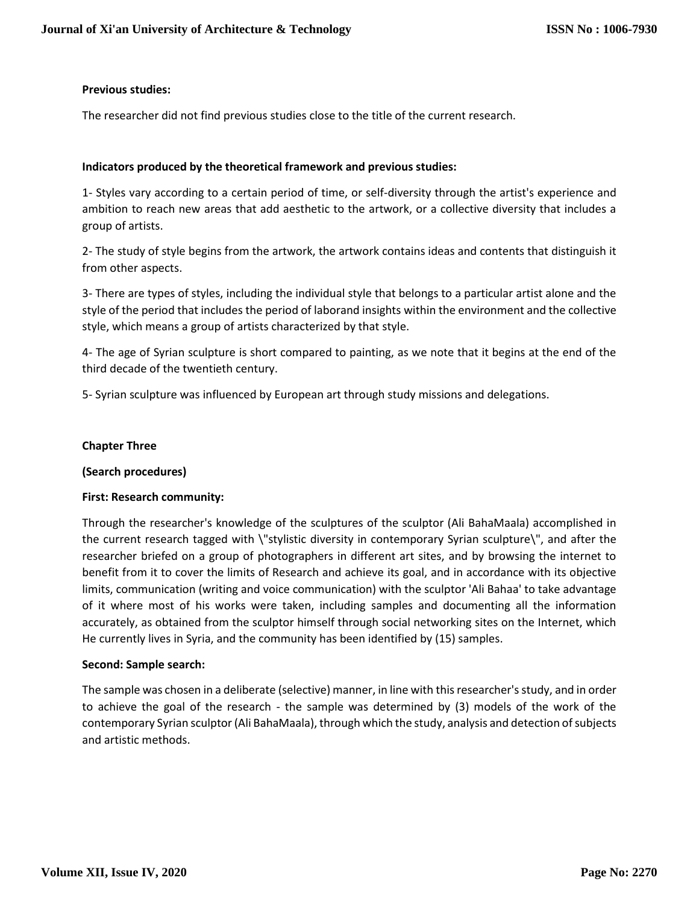# **Previous studies:**

The researcher did not find previous studies close to the title of the current research.

## **Indicators produced by the theoretical framework and previous studies:**

1- Styles vary according to a certain period of time, or self-diversity through the artist's experience and ambition to reach new areas that add aesthetic to the artwork, or a collective diversity that includes a group of artists.

2- The study of style begins from the artwork, the artwork contains ideas and contents that distinguish it from other aspects.

3- There are types of styles, including the individual style that belongs to a particular artist alone and the style of the period that includes the period of laborand insights within the environment and the collective style, which means a group of artists characterized by that style.

4- The age of Syrian sculpture is short compared to painting, as we note that it begins at the end of the third decade of the twentieth century.

5- Syrian sculpture was influenced by European art through study missions and delegations.

### **Chapter Three**

#### **(Search procedures)**

#### **First: Research community:**

Through the researcher's knowledge of the sculptures of the sculptor (Ali BahaMaala) accomplished in the current research tagged with \"stylistic diversity in contemporary Syrian sculpture\", and after the researcher briefed on a group of photographers in different art sites, and by browsing the internet to benefit from it to cover the limits of Research and achieve its goal, and in accordance with its objective limits, communication (writing and voice communication) with the sculptor 'Ali Bahaa' to take advantage of it where most of his works were taken, including samples and documenting all the information accurately, as obtained from the sculptor himself through social networking sites on the Internet, which He currently lives in Syria, and the community has been identified by (15) samples.

#### **Second: Sample search:**

The sample was chosen in a deliberate (selective) manner, in line with this researcher's study, and in order to achieve the goal of the research - the sample was determined by (3) models of the work of the contemporary Syrian sculptor (Ali BahaMaala), through which the study, analysis and detection of subjects and artistic methods.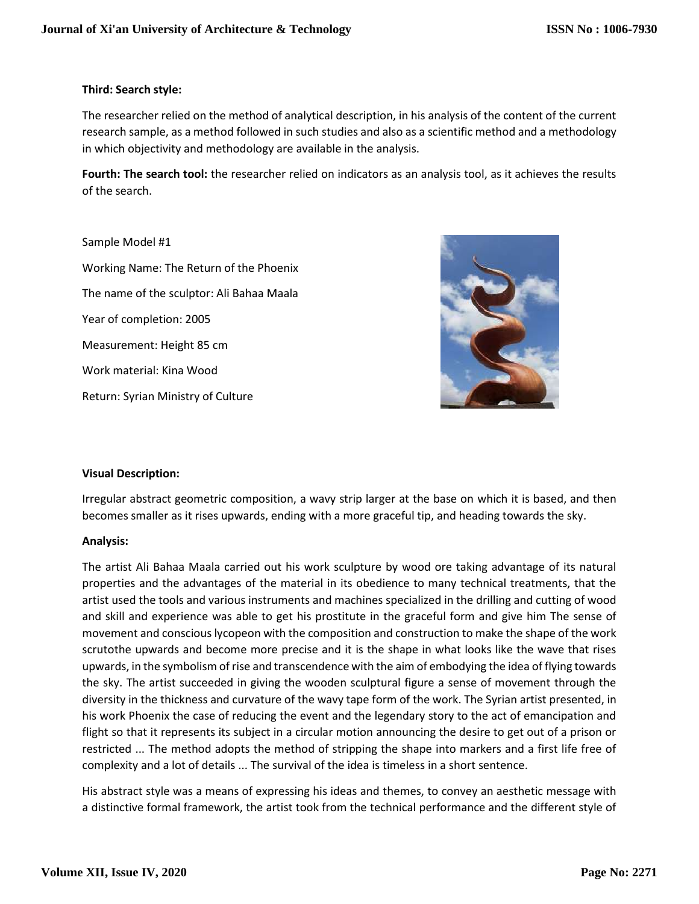### **Third: Search style:**

The researcher relied on the method of analytical description, in his analysis of the content of the current research sample, as a method followed in such studies and also as a scientific method and a methodology in which objectivity and methodology are available in the analysis.

**Fourth: The search tool:** the researcher relied on indicators as an analysis tool, as it achieves the results of the search.

Sample Model #1 Working Name: The Return of the Phoenix The name of the sculptor: Ali Bahaa Maala Year of completion: 2005 Measurement: Height 85 cm Work material: Kina Wood Return: Syrian Ministry of Culture



# **Visual Description:**

Irregular abstract geometric composition, a wavy strip larger at the base on which it is based, and then becomes smaller as it rises upwards, ending with a more graceful tip, and heading towards the sky.

#### **Analysis:**

The artist Ali Bahaa Maala carried out his work sculpture by wood ore taking advantage of its natural properties and the advantages of the material in its obedience to many technical treatments, that the artist used the tools and various instruments and machines specialized in the drilling and cutting of wood and skill and experience was able to get his prostitute in the graceful form and give him The sense of movement and conscious lycopeon with the composition and construction to make the shape of the work scrutothe upwards and become more precise and it is the shape in what looks like the wave that rises upwards, in the symbolism of rise and transcendence with the aim of embodying the idea of flying towards the sky. The artist succeeded in giving the wooden sculptural figure a sense of movement through the diversity in the thickness and curvature of the wavy tape form of the work. The Syrian artist presented, in his work Phoenix the case of reducing the event and the legendary story to the act of emancipation and flight so that it represents its subject in a circular motion announcing the desire to get out of a prison or restricted ... The method adopts the method of stripping the shape into markers and a first life free of complexity and a lot of details ... The survival of the idea is timeless in a short sentence.

His abstract style was a means of expressing his ideas and themes, to convey an aesthetic message with a distinctive formal framework, the artist took from the technical performance and the different style of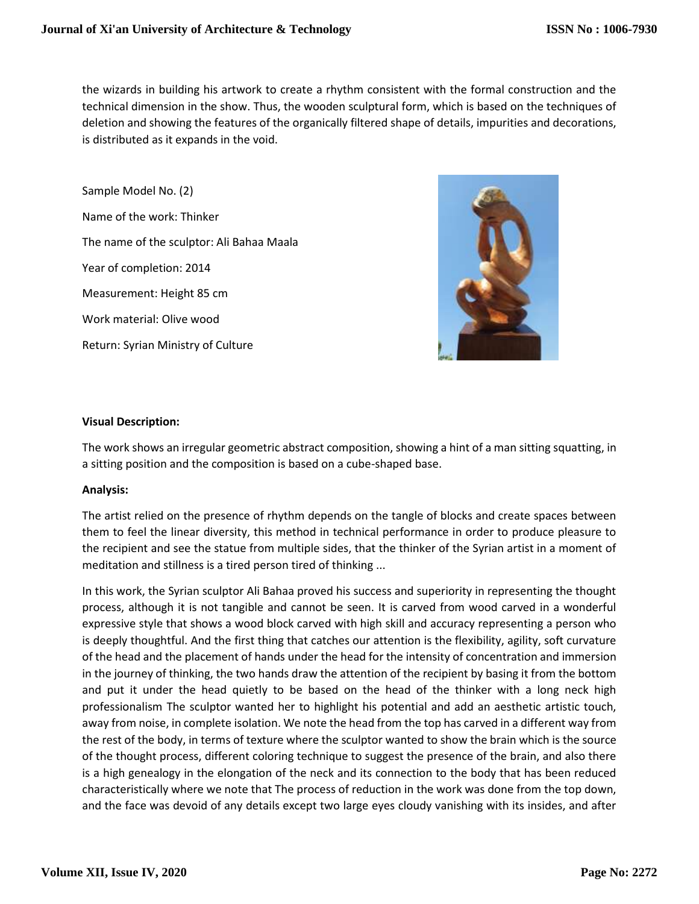the wizards in building his artwork to create a rhythm consistent with the formal construction and the technical dimension in the show. Thus, the wooden sculptural form, which is based on the techniques of deletion and showing the features of the organically filtered shape of details, impurities and decorations, is distributed as it expands in the void.

Sample Model No. (2) Name of the work: Thinker The name of the sculptor: Ali Bahaa Maala Year of completion: 2014 Measurement: Height 85 cm Work material: Olive wood Return: Syrian Ministry of Culture



# **Visual Description:**

The work shows an irregular geometric abstract composition, showing a hint of a man sitting squatting, in a sitting position and the composition is based on a cube-shaped base.

#### **Analysis:**

The artist relied on the presence of rhythm depends on the tangle of blocks and create spaces between them to feel the linear diversity, this method in technical performance in order to produce pleasure to the recipient and see the statue from multiple sides, that the thinker of the Syrian artist in a moment of meditation and stillness is a tired person tired of thinking ...

In this work, the Syrian sculptor Ali Bahaa proved his success and superiority in representing the thought process, although it is not tangible and cannot be seen. It is carved from wood carved in a wonderful expressive style that shows a wood block carved with high skill and accuracy representing a person who is deeply thoughtful. And the first thing that catches our attention is the flexibility, agility, soft curvature of the head and the placement of hands under the head for the intensity of concentration and immersion in the journey of thinking, the two hands draw the attention of the recipient by basing it from the bottom and put it under the head quietly to be based on the head of the thinker with a long neck high professionalism The sculptor wanted her to highlight his potential and add an aesthetic artistic touch, away from noise, in complete isolation. We note the head from the top has carved in a different way from the rest of the body, in terms of texture where the sculptor wanted to show the brain which is the source of the thought process, different coloring technique to suggest the presence of the brain, and also there is a high genealogy in the elongation of the neck and its connection to the body that has been reduced characteristically where we note that The process of reduction in the work was done from the top down, and the face was devoid of any details except two large eyes cloudy vanishing with its insides, and after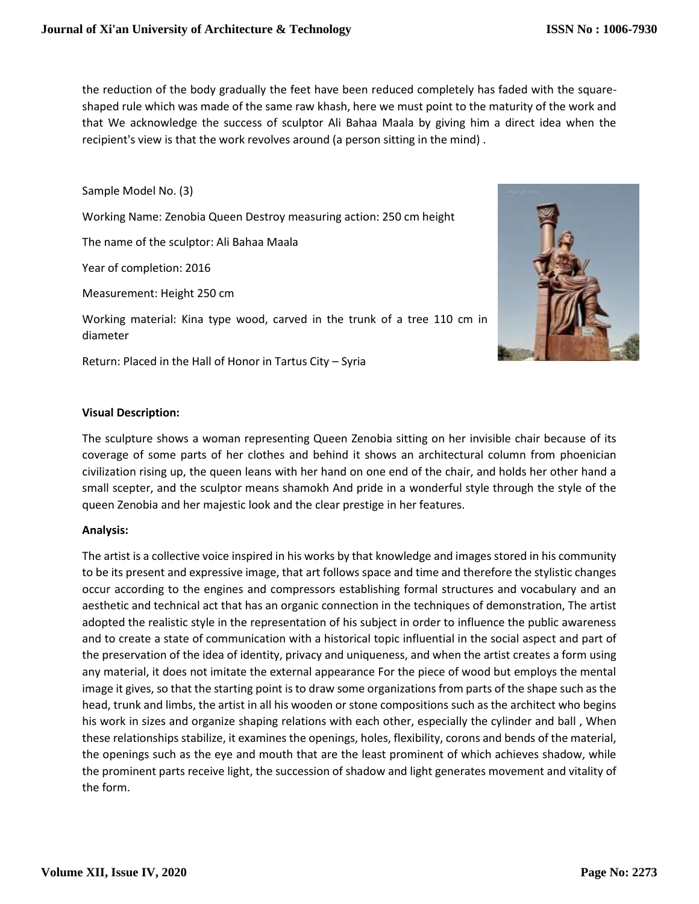the reduction of the body gradually the feet have been reduced completely has faded with the squareshaped rule which was made of the same raw khash, here we must point to the maturity of the work and that We acknowledge the success of sculptor Ali Bahaa Maala by giving him a direct idea when the recipient's view is that the work revolves around (a person sitting in the mind) .

Sample Model No. (3)

Working Name: Zenobia Queen Destroy measuring action: 250 cm height

The name of the sculptor: Ali Bahaa Maala

Year of completion: 2016

Measurement: Height 250 cm

Working material: Kina type wood, carved in the trunk of a tree 110 cm in diameter

Return: Placed in the Hall of Honor in Tartus City – Syria



### **Visual Description:**

The sculpture shows a woman representing Queen Zenobia sitting on her invisible chair because of its coverage of some parts of her clothes and behind it shows an architectural column from phoenician civilization rising up, the queen leans with her hand on one end of the chair, and holds her other hand a small scepter, and the sculptor means shamokh And pride in a wonderful style through the style of the queen Zenobia and her majestic look and the clear prestige in her features.

#### **Analysis:**

The artist is a collective voice inspired in his works by that knowledge and images stored in his community to be its present and expressive image, that art follows space and time and therefore the stylistic changes occur according to the engines and compressors establishing formal structures and vocabulary and an aesthetic and technical act that has an organic connection in the techniques of demonstration, The artist adopted the realistic style in the representation of his subject in order to influence the public awareness and to create a state of communication with a historical topic influential in the social aspect and part of the preservation of the idea of identity, privacy and uniqueness, and when the artist creates a form using any material, it does not imitate the external appearance For the piece of wood but employs the mental image it gives, so that the starting point is to draw some organizations from parts of the shape such as the head, trunk and limbs, the artist in all his wooden or stone compositions such as the architect who begins his work in sizes and organize shaping relations with each other, especially the cylinder and ball , When these relationships stabilize, it examines the openings, holes, flexibility, corons and bends of the material, the openings such as the eye and mouth that are the least prominent of which achieves shadow, while the prominent parts receive light, the succession of shadow and light generates movement and vitality of the form.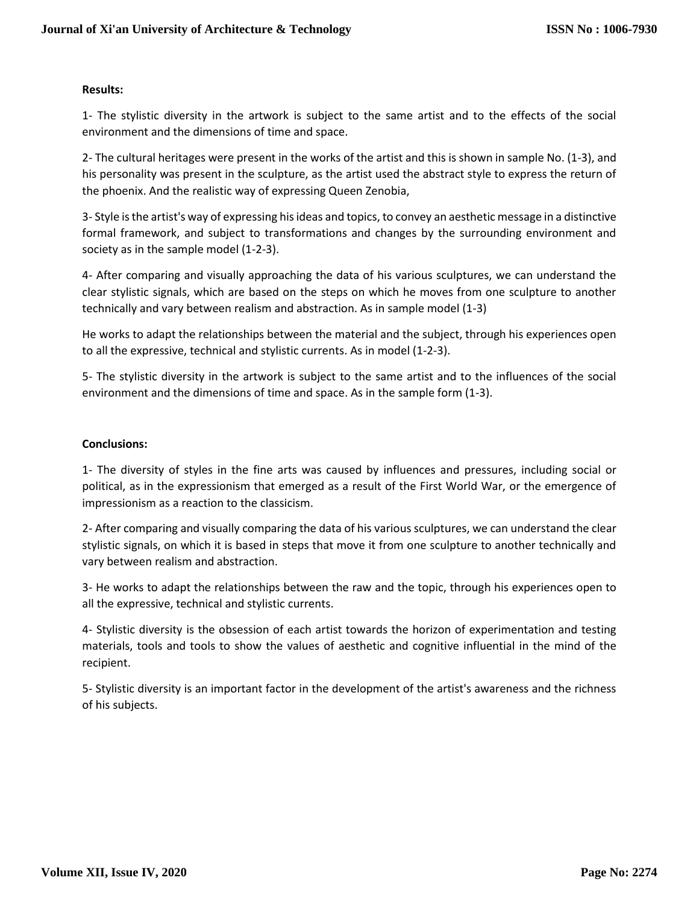### **Results:**

1- The stylistic diversity in the artwork is subject to the same artist and to the effects of the social environment and the dimensions of time and space.

2- The cultural heritages were present in the works of the artist and this is shown in sample No. (1-3), and his personality was present in the sculpture, as the artist used the abstract style to express the return of the phoenix. And the realistic way of expressing Queen Zenobia,

3- Style is the artist's way of expressing his ideas and topics, to convey an aesthetic message in a distinctive formal framework, and subject to transformations and changes by the surrounding environment and society as in the sample model (1-2-3).

4- After comparing and visually approaching the data of his various sculptures, we can understand the clear stylistic signals, which are based on the steps on which he moves from one sculpture to another technically and vary between realism and abstraction. As in sample model (1-3)

He works to adapt the relationships between the material and the subject, through his experiences open to all the expressive, technical and stylistic currents. As in model (1-2-3).

5- The stylistic diversity in the artwork is subject to the same artist and to the influences of the social environment and the dimensions of time and space. As in the sample form (1-3).

# **Conclusions:**

1- The diversity of styles in the fine arts was caused by influences and pressures, including social or political, as in the expressionism that emerged as a result of the First World War, or the emergence of impressionism as a reaction to the classicism.

2- After comparing and visually comparing the data of his various sculptures, we can understand the clear stylistic signals, on which it is based in steps that move it from one sculpture to another technically and vary between realism and abstraction.

3- He works to adapt the relationships between the raw and the topic, through his experiences open to all the expressive, technical and stylistic currents.

4- Stylistic diversity is the obsession of each artist towards the horizon of experimentation and testing materials, tools and tools to show the values of aesthetic and cognitive influential in the mind of the recipient.

5- Stylistic diversity is an important factor in the development of the artist's awareness and the richness of his subjects.